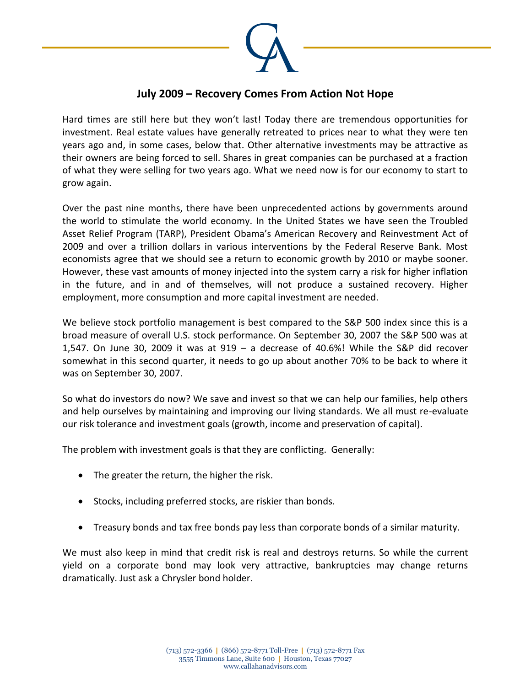

## **July 2009 – Recovery Comes From Action Not Hope**

Hard times are still here but they won't last! Today there are tremendous opportunities for investment. Real estate values have generally retreated to prices near to what they were ten years ago and, in some cases, below that. Other alternative investments may be attractive as their owners are being forced to sell. Shares in great companies can be purchased at a fraction of what they were selling for two years ago. What we need now is for our economy to start to grow again.

Over the past nine months, there have been unprecedented actions by governments around the world to stimulate the world economy. In the United States we have seen the Troubled Asset Relief Program (TARP), President Obama's American Recovery and Reinvestment Act of 2009 and over a trillion dollars in various interventions by the Federal Reserve Bank. Most economists agree that we should see a return to economic growth by 2010 or maybe sooner. However, these vast amounts of money injected into the system carry a risk for higher inflation in the future, and in and of themselves, will not produce a sustained recovery. Higher employment, more consumption and more capital investment are needed.

We believe stock portfolio management is best compared to the S&P 500 index since this is a broad measure of overall U.S. stock performance. On September 30, 2007 the S&P 500 was at 1,547. On June 30, 2009 it was at  $919 - a$  decrease of 40.6%! While the S&P did recover somewhat in this second quarter, it needs to go up about another 70% to be back to where it was on September 30, 2007.

So what do investors do now? We save and invest so that we can help our families, help others and help ourselves by maintaining and improving our living standards. We all must re-evaluate our risk tolerance and investment goals (growth, income and preservation of capital).

The problem with investment goals is that they are conflicting. Generally:

- The greater the return, the higher the risk.
- Stocks, including preferred stocks, are riskier than bonds.
- Treasury bonds and tax free bonds pay less than corporate bonds of a similar maturity.

We must also keep in mind that credit risk is real and destroys returns. So while the current yield on a corporate bond may look very attractive, bankruptcies may change returns dramatically. Just ask a Chrysler bond holder.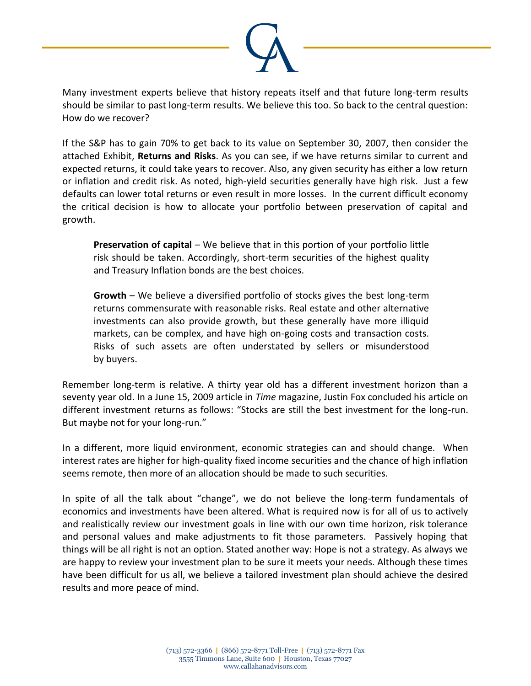

Many investment experts believe that history repeats itself and that future long-term results should be similar to past long-term results. We believe this too. So back to the central question: How do we recover?

If the S&P has to gain 70% to get back to its value on September 30, 2007, then consider the attached Exhibit, **Returns and Risks**. As you can see, if we have returns similar to current and expected returns, it could take years to recover. Also, any given security has either a low return or inflation and credit risk. As noted, high-yield securities generally have high risk. Just a few defaults can lower total returns or even result in more losses. In the current difficult economy the critical decision is how to allocate your portfolio between preservation of capital and growth.

**Preservation of capital** – We believe that in this portion of your portfolio little risk should be taken. Accordingly, short-term securities of the highest quality and Treasury Inflation bonds are the best choices.

**Growth** – We believe a diversified portfolio of stocks gives the best long-term returns commensurate with reasonable risks. Real estate and other alternative investments can also provide growth, but these generally have more illiquid markets, can be complex, and have high on-going costs and transaction costs. Risks of such assets are often understated by sellers or misunderstood by buyers.

Remember long-term is relative. A thirty year old has a different investment horizon than a seventy year old. In a June 15, 2009 article in *Time* magazine, Justin Fox concluded his article on different investment returns as follows: "Stocks are still the best investment for the long-run. But maybe not for your long-run."

In a different, more liquid environment, economic strategies can and should change. When interest rates are higher for high-quality fixed income securities and the chance of high inflation seems remote, then more of an allocation should be made to such securities.

In spite of all the talk about "change", we do not believe the long-term fundamentals of economics and investments have been altered. What is required now is for all of us to actively and realistically review our investment goals in line with our own time horizon, risk tolerance and personal values and make adjustments to fit those parameters. Passively hoping that things will be all right is not an option. Stated another way: Hope is not a strategy. As always we are happy to review your investment plan to be sure it meets your needs. Although these times have been difficult for us all, we believe a tailored investment plan should achieve the desired results and more peace of mind.